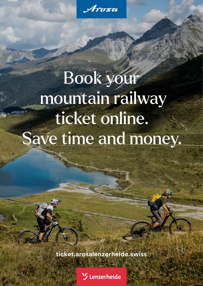# Book your mountain railway ticket online. Save time and money.

**[ticket.arosalenzerheide.swiss](http://ticket.arosalenzerheide.swiss)**

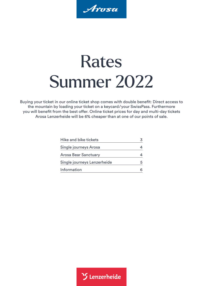Arosa

## Rates Summer 2022

Buying your ticket in our online ticket shop comes with double benefit: Direct access to the mountain by loading your ticket on a keycard/your SwissPass. Furthermore you will benefit from the best offer. Online ticket prices for day and multi-day tickets Arosa Lenzerheide will be 6% cheaper than at one of our points of sale.

| Hike and bike tickets       |  |
|-----------------------------|--|
| Single journeys Arosa       |  |
| <b>Arosa Bear Sanctuary</b> |  |
| Single journeys Lenzerheide |  |
| Information                 |  |

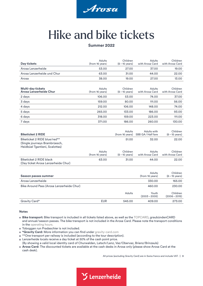

### <span id="page-2-0"></span>Hike and bike tickets

#### **Summer 2022**

| <b>Day tickets</b>                                                                        | Adults<br>(from 16 years) | Children<br>$(6 - 15$ years)       | Adults<br>with Arosa Card                | Children<br>with Arosa Card           |
|-------------------------------------------------------------------------------------------|---------------------------|------------------------------------|------------------------------------------|---------------------------------------|
| Arosa Lenzerheide                                                                         | 53.00                     | 27.00                              | 37.00                                    | 19.00                                 |
| Arosa Lenzerheide und Chur                                                                | 63.00                     | 31.00                              | 44.00                                    | 22.00                                 |
| Arosa                                                                                     | 38.00                     | 19.00                              | 27.00                                    | 13.00                                 |
|                                                                                           |                           |                                    |                                          |                                       |
| <b>Multi-day tickets</b><br>Arosa Lenzerheide Chur                                        | Adults<br>(from 16 years) | Children<br>$(6 - 15$ years)       | Adults<br>with Arosa Card                | Children<br>with Arosa Card           |
| 2 days                                                                                    | 106.00                    | 53.00                              | 74.00                                    | 37.00                                 |
| 3 days                                                                                    | 159.00                    | 80.00                              | 111.00                                   | 56.00                                 |
| 4 days                                                                                    | 212.00                    | 106.00                             | 148.00                                   | 74.00                                 |
| 5 days                                                                                    | 265.00                    | 133.00                             | 186.00                                   | 93.00                                 |
| 6 days                                                                                    | 318.00                    | 159.00                             | 223.00                                   | 111.00                                |
| 7 days                                                                                    | 371.00                    | 186.00                             | 260.00                                   | 130.00                                |
| <b>Biketicket 2 RIDE</b><br>Biketicket 2 RIDE blue/red**<br>(Single journeys Brambrüesch, |                           | Adults<br>(from 16 years)<br>51.00 | Adults with<br>SBB GA/Half fare<br>32.00 | Children<br>$(6 - 15$ years)<br>22.00 |
| Heidbüel Tgantieni, Scalottas)                                                            |                           |                                    |                                          |                                       |
|                                                                                           | Adults<br>(from 16 years) | Children<br>$(6 - 15$ years)       | <b>Adults</b><br>with Arosa Card         | Children<br>with Arosa Card           |
| <b>Biketicket 2 RIDE black</b><br>(Day ticket Arosa Lenzerheide Chur)                     | 63.00                     | 31.00                              | 44.00                                    | 22.00                                 |
|                                                                                           |                           |                                    |                                          |                                       |
| <b>Season passes summer</b>                                                               |                           |                                    | <b>Adults</b><br>(from 16 years)         | Children<br>$(6 - 15$ years)          |
| Arosa Lenzerheide                                                                         |                           |                                    | 330.00                                   | 165.00                                |
| Bike Around Pass (Arosa Lenzerheide Chur)                                                 |                           |                                    | 460.00                                   | 230.00                                |
|                                                                                           |                           | Adults                             | Youth<br>$(2003 - 2005)$                 | Children<br>$(2006 - 2015)$           |
| Gravity Card*                                                                             | <b>EUR</b>                | 545.00                             | 409.00                                   | 273.00                                |

#### **Notes**

- **Bike transport:** Bike transport is included in all tickets listed above, as well as the [TOPCARD](https://www.topcard.info/en/), graubündenCARD and annual/season passes. The bike transport is not included in the Arosa Card. Please note the transport conditions in the [operating hours.](https://arosalenzerheide.swiss/en/Ski-Area/Mountain-Railways/Operating-hours-summer)
- **Toboggan run Pradaschier is not included.**
- **\*Gravity Card:** More information you can find under [gravity-card.com](https://gravity-card.com/)
- \*\*One transport per railway is included (according to the tour description).
- **Lenzerheide locals receive a day ticket at 50% of the cash point price.**
- (By showing a valid local identity card of Churwalden, Latsch/Lenz, Vaz/Obervaz, Brienz/Brinzauls)
- **Arosa Card:** The discounted tickets are available at the cash desks in Arosa only (please show Arosa Card at the cash desk).

All prices (excluding Gravity Card) are in Swiss francs and include VAT. **| 3** 

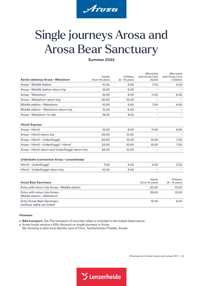

### <span id="page-3-0"></span>Single journeys Arosa and Arosa Bear Sanctuary

**Summer 2022**

| Aerial cableway Arosa - Weisshorn                               | Adults<br>(from 16 years) | Children<br>$(6 - 15$ years) | <b>Bike ticket</b><br>with Arosa Card<br>Adults | <b>Bike ticket</b><br>with Arosa Card<br>Children |
|-----------------------------------------------------------------|---------------------------|------------------------------|-------------------------------------------------|---------------------------------------------------|
| Arosa - Middle station                                          | 10.00                     | 5.00                         | 7.00                                            | 4.00                                              |
| Arosa – Middle station return trip                              | 12.00                     | 6.00                         |                                                 |                                                   |
| Arosa - Weisshorn                                               | 16.00                     | 8.00                         | 11.00                                           | 6.00                                              |
| Arosa – Weisshorn return trip                                   | 20.00                     | 10.00                        |                                                 |                                                   |
| Middle station - Weisshorn                                      | 10.00                     | 5.00                         | 7.00                                            | 4.00                                              |
| Middle station - Weisshorn return trip                          | 12.00                     | 6.00                         |                                                 |                                                   |
| Arosa - Weisshorn 34-ride                                       | 18.00                     | 9.00                         |                                                 |                                                   |
| Hörnli-Express                                                  |                           |                              |                                                 |                                                   |
| Arosa - Hörnli                                                  | 16.00                     | 8.00                         | 11.00                                           | 6.00                                              |
| Arosa – Hörnli return trip                                      | 20.00                     | 10.00                        |                                                 |                                                   |
| Arosa - Hörnli - Urdenfürggli                                   | 20.00                     | 10.00                        | 14.00                                           | 7.00                                              |
| Arosa - Hörnli - Urdenfürggli - Hörnli                          | 22.00                     | 10.00                        | 15.00                                           | 7.00                                              |
| Arosa - Hörnli return and Urdenfürggli return trip              | 26.00                     | 10.00                        |                                                 |                                                   |
| Urdenbahn (connection Arosa-Lenzerheide)                        |                           |                              |                                                 |                                                   |
| Hörnli – Urdenfürggli                                           | 7.00                      | 4.00                         | 5.00                                            | 3.00                                              |
| Hörnli-Urdenfürggli return trip                                 | 10.00                     | 5.00                         | $\overline{\phantom{0}}$                        |                                                   |
| <b>Arosa Bear Sanctuary</b>                                     |                           |                              | Adults<br>(from 16 years)                       | Children<br>$(6 - 15 \text{ years})$              |
| Entry with return trip Arosa - Middle station                   |                           |                              | 20.00                                           | 10.00                                             |
| Entry with return trip Arosa -<br>Middle station-Weisshorn      |                           |                              | 29.00                                           | 15.00                                             |
| <b>Entry Arosa Bear Sanctuary</b><br>(without cable car ticket) |                           |                              | 12.00                                           | 6.00                                              |

#### **Hinweise**

**Bike transport:** Der The transport of mountain bikes is included in the tickets listed above.

Arosa locals receive a 50% discount on single journeys in Arosa.

(By showing a valid local identity card of Chur, Tschiertschen/Praden, Arosa)

All prices are in Swiss francs and include VAT. **| 4** 

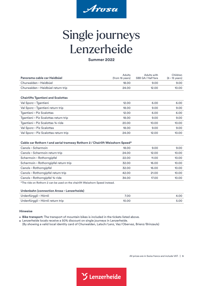

### <span id="page-4-0"></span>Single journeys Lenzerheide

#### **Summer 2022**

| Panorama cable car Heidbüel               | Adults<br>(from 16 years) | Adults with<br>SBB GA/Half fare | Children<br>$(6 - 15$ years) |
|-------------------------------------------|---------------------------|---------------------------------|------------------------------|
| Churwalden - Heidbüel                     | 18.00                     | 9.00                            | 9.00                         |
| Churwalden - Heidbüel return trip         | 24.00                     | 12.00                           | 10.00                        |
| <b>Chairlifts Tgantieni and Scalottas</b> |                           |                                 |                              |
| Val Sporz-Tgantieni                       | 12.00                     | 6.00                            | 6.00                         |
| Val Sporz – Tgantieni return trip         | 18.00                     | 9.00                            | 9.00                         |
| Tgantieni - Piz Scalottas                 | 12.00                     | 6.00                            | 6.00                         |
| Tgantieni – Piz Scalottas return trip     | 18.00                     | 9.00                            | 9.00                         |
| Tgantieni – Piz Scalottas ¾-ride          | 20.00                     | 10.00                           | 10.00                        |
| Val Sporz-Piz Scalottas                   | 18.00                     | 9.00                            | 9.00                         |
| Val Sporz – Piz Scalottas return trip     | 24.00                     | 12.00                           | 10.00                        |

#### **Cable car Rothorn 1 and aerial tramway Rothorn 2/Chairlift Weisshorn Speed\***

| Canols-Scharmoin                      | 18.00 | 9.00  | 9.00  |
|---------------------------------------|-------|-------|-------|
| Canols-Scharmoin return trip          | 24.00 | 12.00 | 10.00 |
| Scharmoin - Rothorngipfel             | 22.00 | 11.00 | 10.00 |
| Scharmoin - Rothorngipfel return trip | 32.00 | 16.00 | 10.00 |
| Canols-Rothorngipfel                  | 32.00 | 16.00 | 10.00 |
| Canols - Rothorngipfel return trip    | 42.00 | 21.00 | 10.00 |
| Canols-Rothorngipfel 34-ride          | 34.00 | 17.00 | 10.00 |
|                                       |       |       |       |

\*The ride on Rothorn 2 can be used on the chairlift Weisshorn Speed instead.

#### **Urdenbahn (connection Arosa–Lenzerheide)**

| Urdenfürggli – Hörnli             | 7.00  | 4.00 |
|-----------------------------------|-------|------|
| Urdenfürggli – Hörnli return trip | 10.00 | 5.00 |

#### **Hinweise**

**Bike transport:** The transport of mountain bikes is included in the tickets listed above.

Lenzerheide locals receive a 50% discount on single journeys in Lenzerheide.

(By showing a valid local identity card of Churwalden, Latsch/Lenz, Vaz/Obervaz, Brienz/Brinzauls)

All prices are in Swiss francs and include VAT. **| 5**